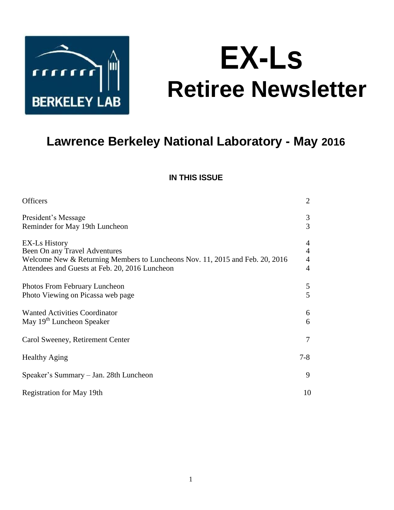

# **EX-Ls Retiree Newsletter**

# **Lawrence Berkeley National Laboratory - May 2016**

# **IN THIS ISSUE**

| <b>Officers</b>                                                                                                                                                                         | $\overline{2}$                                                       |
|-----------------------------------------------------------------------------------------------------------------------------------------------------------------------------------------|----------------------------------------------------------------------|
| President's Message<br>Reminder for May 19th Luncheon                                                                                                                                   | 3<br>3                                                               |
| <b>EX-Ls History</b><br>Been On any Travel Adventures<br>Welcome New & Returning Members to Luncheons Nov. 11, 2015 and Feb. 20, 2016<br>Attendees and Guests at Feb. 20, 2016 Luncheon | $\overline{4}$<br>$\overline{4}$<br>$\overline{4}$<br>$\overline{4}$ |
| Photos From February Luncheon<br>Photo Viewing on Picassa web page                                                                                                                      | 5<br>5                                                               |
| <b>Wanted Activities Coordinator</b><br>May 19 <sup>th</sup> Luncheon Speaker                                                                                                           | 6<br>6                                                               |
| Carol Sweeney, Retirement Center                                                                                                                                                        | $\tau$                                                               |
| <b>Healthy Aging</b>                                                                                                                                                                    | $7 - 8$                                                              |
| Speaker's Summary - Jan. 28th Luncheon                                                                                                                                                  | 9                                                                    |
| <b>Registration for May 19th</b>                                                                                                                                                        | 10                                                                   |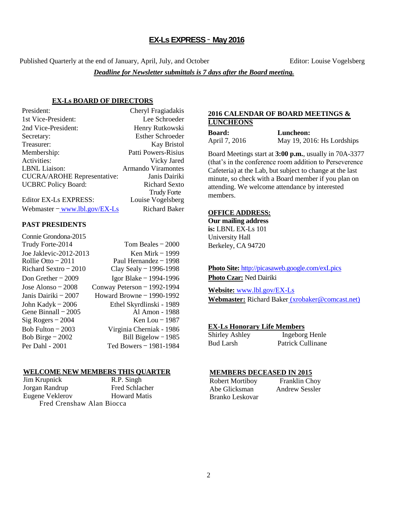# **EX-Ls EXPRESS** – **May 2016**

Published Quarterly at the end of January, April, July, and October Editor: Louise Vogelsberg

*Deadline for Newsletter submittals is 7 days after the Board meeting.* 

# **EX-Ls BOARD OF DIRECTORS**

| President:                         | Cheryl Fragiadakis        |
|------------------------------------|---------------------------|
| 1st Vice-President:                | Lee Schroeder             |
| 2nd Vice-President:                | Henry Rutkowski           |
| Secretary:                         | <b>Esther Schroeder</b>   |
| Treasurer:                         | <b>Kay Bristol</b>        |
| Membership:                        | Patti Powers-Risius       |
| Activities:                        | Vicky Jared               |
| LBNL Liaison:                      | <b>Armando Viramontes</b> |
| <b>CUCRA/AROHE Representative:</b> | Janis Dairiki             |
| <b>UCBRC</b> Policy Board:         | <b>Richard Sexto</b>      |
|                                    | <b>Trudy Forte</b>        |
| Editor EX-Ls EXPRESS:              | Louise Vogelsberg         |

Webmaster  $-\frac{www.1b1.gov/EX-Ls}{www.1b1.gov/EX-Ls}$  Richard Baker

# **PAST PRESIDENTS**

| Connie Grondona-2015   |                             |
|------------------------|-----------------------------|
| Trudy Forte-2014       | Tom Beales $-2000$          |
| Joe Jaklevic-2012-2013 | Ken Mirk $-1999$            |
| Rollie Otto $-2011$    | Paul Hernandez $-1998$      |
| Richard Sextro $-2010$ | Clay Sealy - 1996-1998      |
| Don Grether $-2009$    | Igor Blake $-1994-1996$     |
| Jose Alonso $-2008$    | Conway Peterson - 1992-1994 |
| Janis Dairiki – 2007   | Howard Browne - 1990-1992   |
| John Kadyk $-2006$     | Ethel Skyrdlinski - 1989    |
| Gene Binnall $-2005$   | Al Amon - 1988              |
| $Sig Rogers - 2004$    | Ken Lou - 1987              |
| Bob Fulton $-2003$     | Virginia Cherniak - 1986    |
| Bob Birge $-2002$      | Bill Bigelow - 1985         |
| Per Dahl - 2001        | Ted Bowers - 1981-1984      |

#### **WELCOME NEW MEMBERS THIS QUARTER**

Jim Krupnick R.P. Singh Jorgan Randrup Fred Schlacher Eugene Veklerov Howard Matis Fred Crenshaw Alan Biocca

# **2016 CALENDAR OF BOARD MEETINGS & LUNCHEONS**

| Board:        |  |
|---------------|--|
| April 7. 2016 |  |

**Board: Luncheon:** April 7, 2016 May 19, 2016: Hs Lordships

Board Meetings start at **3:00 p.m.**, usually in 70A-3377 (that's in the conference room addition to Perseverence Cafeteria) at the Lab, but subject to change at the last minute, so check with a Board member if you plan on attending. We welcome attendance by interested members.

#### **OFFICE ADDRESS:**

**Our mailing address is:** LBNL EX-Ls 101 University Hall Berkeley, CA 94720

**Photo Site:** <http://picasaweb.google.com/exLpics> **Photo Czar:** Ned Dairiki

**Website:** [www.lbl.gov/EX-Ls](http://www.lbl.gov/EX-Ls) **Webmaster:** Richard Baker [\(xrobaker@comcast.net\)](mailto:xrobaker@comcast.net)

#### **EX-Ls Honorary Life Members**

| <b>Shirley Ashley</b> | Ingeborg Henle           |
|-----------------------|--------------------------|
| Bud Larsh             | <b>Patrick Cullinane</b> |

#### **MEMBERS DECEASED IN 2015**

Robert Mortiboy Franklin Choy Abe Glicksman Andrew Sessler Branko Leskovar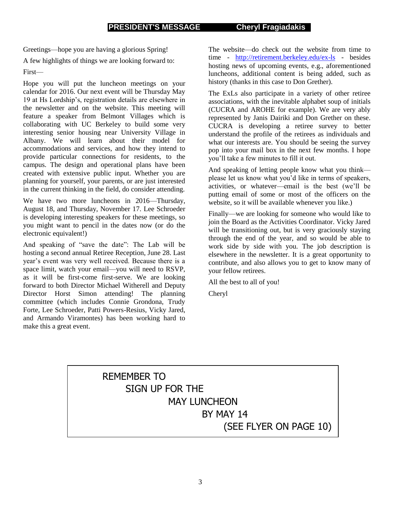Greetings—hope you are having a glorious Spring!

A few highlights of things we are looking forward to:

First—

Hope you will put the luncheon meetings on your calendar for 2016. Our next event will be Thursday May 19 at Hs Lordship's, registration details are elsewhere in the newsletter and on the website. This meeting will feature a speaker from Belmont Villages which is collaborating with UC Berkeley to build some very interesting senior housing near University Village in Albany. We will learn about their model for accommodations and services, and how they intend to provide particular connections for residents, to the campus. The design and operational plans have been created with extensive public input. Whether you are planning for yourself, your parents, or are just interested in the current thinking in the field, do consider attending.

We have two more luncheons in 2016—Thursday, August 18, and Thursday, November 17. Lee Schroeder is developing interesting speakers for these meetings, so you might want to pencil in the dates now (or do the electronic equivalent!)

And speaking of "save the date": The Lab will be hosting a second annual Retiree Reception, June 28. Last year's event was very well received. Because there is a space limit, watch your email—you will need to RSVP, as it will be first-come first-serve. We are looking forward to both Director Michael Witherell and Deputy Director Horst Simon attending! The planning committee (which includes Connie Grondona, Trudy Forte, Lee Schroeder, Patti Powers-Resius, Vicky Jared, and Armando Viramontes) has been working hard to make this a great event.

The website—do check out the website from time to time - <http://retirement.berkeley.edu/ex-ls> - besides hosting news of upcoming events, e.g., aforementioned luncheons, additional content is being added, such as history (thanks in this case to Don Grether).

The ExLs also participate in a variety of other retiree associations, with the inevitable alphabet soup of initials (CUCRA and AROHE for example). We are very ably represented by Janis Dairiki and Don Grether on these. CUCRA is developing a retiree survey to better understand the profile of the retirees as individuals and what our interests are. You should be seeing the survey pop into your mail box in the next few months. I hope you'll take a few minutes to fill it out.

And speaking of letting people know what you think please let us know what you'd like in terms of speakers, activities, or whatever—email is the best (we'll be putting email of some or most of the officers on the website, so it will be available whenever you like.)

Finally—we are looking for someone who would like to join the Board as the Activities Coordinator. Vicky Jared will be transitioning out, but is very graciously staying through the end of the year, and so would be able to work side by side with you. The job description is elsewhere in the newsletter. It is a great opportunity to contribute, and also allows you to get to know many of your fellow retirees.

All the best to all of you!

Cheryl

# REMEMBER TO SIGN UP FOR THE MAY LUNCHEON BY MAY 14

(SEE FLYER ON PAGE 10)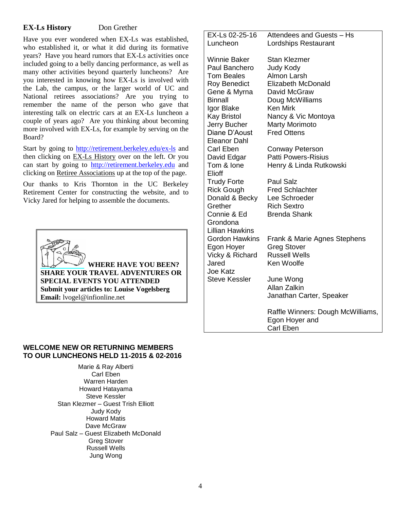# **EX-Ls History** Don Grether

Have you ever wondered when EX-Ls was established, who established it, or what it did during its formative years? Have you heard rumors that EX-Ls activities once included going to a belly dancing performance, as well as many other activities beyond quarterly luncheons? Are you interested in knowing how EX-Ls is involved with the Lab, the campus, or the larger world of UC and National retirees associations? Are you trying to remember the name of the person who gave that interesting talk on electric cars at an EX-Ls luncheon a couple of years ago? Are you thinking about becoming more involved with EX-Ls, for example by serving on the Board?

Start by going to<http://retirement.berkeley.edu/ex-ls> and then clicking on EX-Ls History over on the left. Or you can start by going to [http://retirement.berkeley.edu](http://retirement.berkeley.edu/) and clicking on Retiree Associations up at the top of the page.

Our thanks to Kris Thornton in the UC Berkeley Retirement Center for constructing the website, and to Vicky Jared for helping to assemble the documents.



 **WHERE HAVE YOU BEEN? SHARE YOUR TRAVEL ADVENTURES OR SPECIAL EVENTS YOU ATTENDED Submit your articles to: Louise Vogelsberg Email:** lvogel@infionline.net

EX-Ls 02-25-16 Luncheon Attendees and Guests – Hs Lordships Restaurant Winnie Baker Stan Klezmer Paul Banchero Tom Beales Judy Kody Almon Larsh Roy Benedict Gene & Myrna Binnall Igor Blake Kay Bristol Jerry Bucher Diane D'Aoust Eleanor Dahl Elizabeth McDonald David McGraw Doug McWilliams Ken Mirk Nancy & Vic Montoya Marty Morimoto Fred Ottens Carl Eben Conway Peterson David Edgar Tom & Ione Elioff Patti Powers-Risius Henry & Linda Rutkowski Trudy Forte Rick Gough Paul Salz Fred Schlachter Donald & Becky **Grether** Connie & Ed Grondona Lillian Hawkins Lee Schroeder Rich Sextro Brenda Shank Gordon Hawkins Egon Hoyer Vicky & Richard Jared Joe Katz Frank & Marie Agnes Stephens Greg Stover Russell Wells Ken Woolfe Steve Kessler June Wong Allan Zalkin Janathan Carter, Speaker Raffle Winners: Dough McWilliams, Egon Hoyer and Carl Eben

# **WELCOME NEW OR RETURNING MEMBERS TO OUR LUNCHEONS HELD 11-2015 & 02-2016**

Marie & Ray Alberti Carl Eben Warren Harden Howard Hatayama Steve Kessler Stan Klezmer – Guest Trish Elliott Judy Kody Howard Matis Dave McGraw Paul Salz – Guest Elizabeth McDonald Greg Stover Russell Wells Jung Wong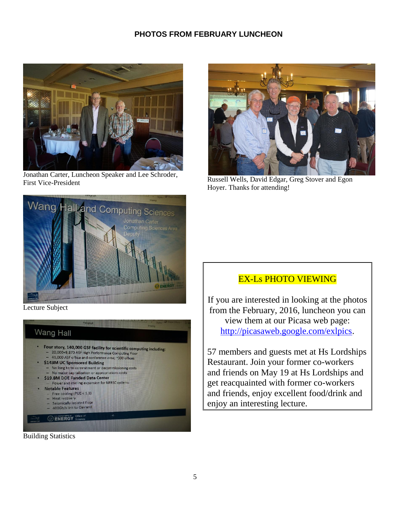# **PHOTOS FROM FEBRUARY LUNCHEON**



Jonathan Carter, Luncheon Speaker and Lee Schroder, First Vice-President



Russell Wells, David Edgar, Greg Stover and Egon Hoyer. Thanks for attending!



Lecture Subject



Building Statistics

# EX-Ls PHOTO VIEWING

If you are interested in looking at the photos from the February, 2016, luncheon you can view them at our Picasa web page: [http://picasaweb.google.com/exlpics.](http://picasaweb.google.com/exlpics)

57 members and guests met at Hs Lordships Restaurant. Join your former co-workers and friends on May 19 at Hs Lordships and get reacquainted with former co-workers and friends, enjoy excellent food/drink and enjoy an interesting lecture.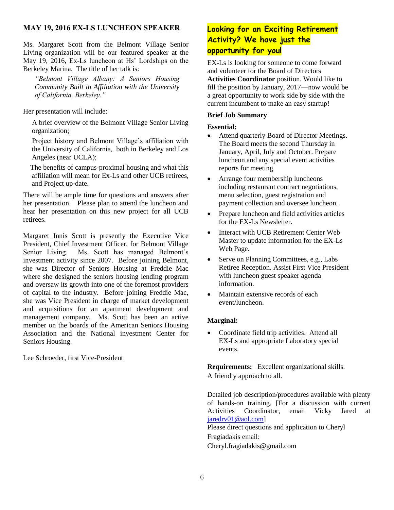# **MAY 19, 2016 EX-LS LUNCHEON SPEAKER**

Ms. Margaret Scott from the Belmont Village Senior Living organization will be our featured speaker at the May 19, 2016, Ex-Ls luncheon at Hs' Lordships on the Berkeley Marina. The title of her talk is:

*"Belmont Village Albany: A Seniors Housing Community Built in Affiliation with the University of California, Berkeley."*

Her presentation will include:

 A brief overview of the Belmont Village Senior Living organization;

 Project history and Belmont Village's affiliation with the University of California, both in Berkeley and Los Angeles (near UCLA);

 The benefits of campus-proximal housing and what this affiliation will mean for Ex-Ls and other UCB retirees, and Project up-date.

There will be ample time for questions and answers after her presentation. Please plan to attend the luncheon and hear her presentation on this new project for all UCB retirees.

Margaret Innis Scott is presently the Executive Vice President, Chief Investment Officer, for Belmont Village Senior Living. Ms. Scott has managed Belmont's investment activity since 2007. Before joining Belmont, she was Director of Seniors Housing at Freddie Mac where she designed the seniors housing lending program and oversaw its growth into one of the foremost providers of capital to the industry. Before joining Freddie Mac, she was Vice President in charge of market development and acquisitions for an apartment development and management company. Ms. Scott has been an active member on the boards of the American Seniors Housing Association and the National investment Center for Seniors Housing.

Lee Schroeder, first Vice-President

# **Looking for an Exciting Retirement Activity? We have just the opportunity for you!**

EX-Ls is looking for someone to come forward and volunteer for the Board of Directors **Activities Coordinator** position. Would like to fill the position by January, 2017—now would be a great opportunity to work side by side with the current incumbent to make an easy startup!

# **Brief Job Summary**

#### **Essential:**

- Attend quarterly Board of Director Meetings. The Board meets the second Thursday in January, April, July and October. Prepare luncheon and any special event activities reports for meeting.
- Arrange four membership luncheons including restaurant contract negotiations, menu selection, guest registration and payment collection and oversee luncheon.
- Prepare luncheon and field activities articles for the EX-Ls Newsletter.
- Interact with UCB Retirement Center Web Master to update information for the EX-Ls Web Page.
- Serve on Planning Committees, e.g., Labs Retiree Reception. Assist First Vice President with luncheon guest speaker agenda information.
- Maintain extensive records of each event/luncheon.

# **Marginal:**

 Coordinate field trip activities. Attend all EX-Ls and appropriate Laboratory special events.

**Requirements:** Excellent organizational skills. A friendly approach to all.

Detailed job description/procedures available with plenty of hands-on training. [For a discussion with current Activities Coordinator, email Vicky Jared at [jaredrv01@aol.com\]](mailto:jaredrv01@aol.com)

Please direct questions and application to Cheryl Fragiadakis email:

Cheryl.fragiadakis@gmail.com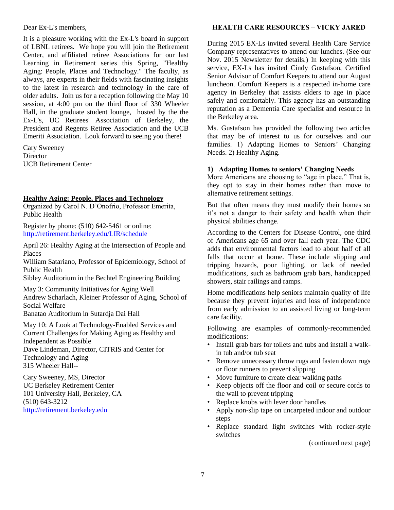Dear Ex-L's members,

It is a pleasure working with the Ex-L's board in support of LBNL retirees. We hope you will join the Retirement Center, and affiliated retiree Associations for our last Learning in Retirement series this Spring, "Healthy Aging: People, Places and Technology." The faculty, as always, are experts in their fields with fascinating insights to the latest in research and technology in the care of older adults. Join us for a reception following the May 10 session, at 4:00 pm on the third floor of 330 Wheeler Hall, in the graduate student lounge, hosted by the the Ex-L's, UC Retirees' Association of Berkeley, the President and Regents Retiree Association and the UCB Emeriti Association. Look forward to seeing you there!

Cary Sweeney **Director** UCB Retirement Center

# **Healthy Aging: People, Places and Technology**

Organized by Carol N. D'Onofrio, Professor Emerita, Public Health

Register by phone: (510) 642-5461 or online: <http://retirement.berkeley.edu/LIR/schedule>

April 26: Healthy Aging at the Intersection of People and Places

William Satariano, Professor of Epidemiology, School of Public Health

Sibley Auditorium in the Bechtel Engineering Building

May 3: Community Initiatives for Aging Well Andrew Scharlach, Kleiner Professor of Aging, School of Social Welfare Banatao Auditorium in Sutardja Dai Hall

May 10: A Look at Technology-Enabled Services and

Current Challenges for Making Aging as Healthy and Independent as Possible Dave Lindeman, Director, CITRIS and Center for Technology and Aging

315 Wheeler Hall--

Cary Sweeney, MS, Director UC Berkeley Retirement Center 101 University Hall, Berkeley, CA (510) 643-3212 [http://retirement.berkeley.edu](http://retirement.berkeley.edu/)

# **HEALTH CARE RESOURCES – VICKY JARED**

During 2015 EX-Ls invited several Health Care Service Company representatives to attend our lunches. (See our Nov. 2015 Newsletter for details.) In keeping with this service, EX-Ls has invited Cindy Gustafson, Certified Senior Advisor of Comfort Keepers to attend our August luncheon. Comfort Keepers is a respected in-home care agency in Berkeley that assists elders to age in place safely and comfortably. This agency has an outstanding reputation as a Dementia Care specialist and resource in the Berkeley area.

Ms. Gustafson has provided the following two articles that may be of interest to us for ourselves and our families. 1) Adapting Homes to Seniors' Changing Needs. 2) Healthy Aging.

# **1) Adapting Homes to seniors' Changing Needs**

More Americans are choosing to "age in place." That is, they opt to stay in their homes rather than move to alternative retirement settings.

But that often means they must modify their homes so it's not a danger to their safety and health when their physical abilities change.

According to the Centers for Disease Control, one third of Americans age 65 and over fall each year. The CDC adds that environmental factors lead to about half of all falls that occur at home. These include slipping and tripping hazards, poor lighting, or lack of needed modifications, such as bathroom grab bars, handicapped showers, stair railings and ramps.

Home modifications help seniors maintain quality of life because they prevent injuries and loss of independence from early admission to an assisted living or long-term care facility.

Following are examples of commonly-recommended modifications:

- Install grab bars for toilets and tubs and install a walkin tub and/or tub seat
- Remove unnecessary throw rugs and fasten down rugs or floor runners to prevent slipping
- Move furniture to create clear walking paths
- Keep objects off the floor and coil or secure cords to the wall to prevent tripping
- Replace knobs with lever door handles
- Apply non-slip tape on uncarpeted indoor and outdoor steps
- Replace standard light switches with rocker-style switches

(continued next page)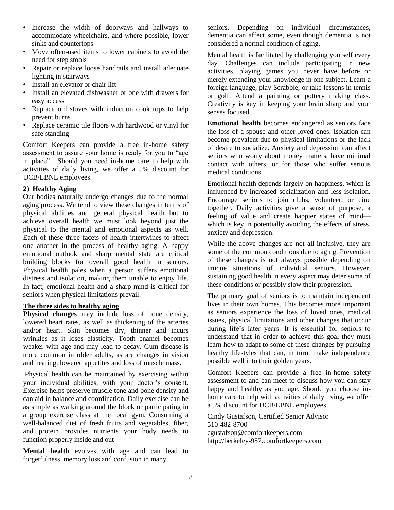- Increase the width of doorways and hallways to accommodate wheelchairs, and where possible, lower sinks and countertops
- Move often-used items to lower cabinets to avoid the need for step stools
- Repair or replace loose handrails and install adequate lighting in stairways
- Install an elevator or chair lift
- Install an elevated dishwasher or one with drawers for easy access
- Replace old stoves with induction cook tops to help prevent burns
- Replace ceramic tile floors with hardwood or vinyl for safe standing

Comfort Keepers can provide a free in-home safety assessment to assure your home is ready for you to "age in place". Should you need in-home care to help with activities of daily living, we offer a 5% discount for UCB/LBNL employees.

# **2) Healthy Aging**

Our bodies naturally undergo changes due to the normal aging process. We tend to view these changes in terms of physical abilities and general physical health but to achieve overall health we must look beyond just the physical to the mental and emotional aspects as well. Each of these three facets of health intertwines to affect one another in the process of healthy aging. A happy emotional outlook and sharp mental state are critical building blocks for overall good health in seniors. Physical health pales when a person suffers emotional distress and isolation, making them unable to enjoy life. In fact, emotional health and a sharp mind is critical for seniors when physical limitations prevail.

# **The three sides to healthy aging**

**Physical changes** may include loss of bone density, lowered heart rates, as well as thickening of the arteries and/or heart. Skin becomes dry, thinner and incurs wrinkles as it loses elasticity. Tooth enamel becomes weaker with age and may lead to decay. Gum disease is more common in older adults, as are changes in vision and hearing, lowered appetites and loss of muscle mass.

Physical health can be maintained by exercising within your individual abilities, with your doctor's consent. Exercise helps preserve muscle tone and bone density and can aid in balance and coordination. Daily exercise can be as simple as walking around the block or participating in a group exercise class at the local gym. Consuming a well-balanced diet of fresh fruits and vegetables, fiber, and protein provides nutrients your body needs to function properly inside and out

**Mental health** evolves with age and can lead to forgetfulness, memory loss and confusion in many

seniors. Depending on individual circumstances, dementia can affect some, even though dementia is not considered a normal condition of aging.

Mental health is facilitated by challenging yourself every day. Challenges can include participating in new activities, playing games you never have before or merely extending your knowledge in one subject. Learn a foreign language, play Scrabble, or take lessons in tennis or golf. Attend a painting or pottery making class. Creativity is key in keeping your brain sharp and your senses focused.

**Emotional health** becomes endangered as seniors face the loss of a spouse and other loved ones. Isolation can become prevalent due to physical limitations or the lack of desire to socialize. Anxiety and depression can affect seniors who worry about money matters, have minimal contact with others, or for those who suffer serious medical conditions.

Emotional health depends largely on happiness, which is influenced by increased socialization and less isolation. Encourage seniors to join clubs, volunteer, or dine together. Daily activities give a sense of purpose, a feeling of value and create happier states of mind which is key in potentially avoiding the effects of stress, anxiety and depression.

While the above changes are not all-inclusive, they are some of the common conditions due to aging. Prevention of these changes is not always possible depending on unique situations of individual seniors. However, sustaining good health in every aspect may deter some of these conditions or possibly slow their progression.

The primary goal of seniors is to maintain independent lives in their own homes. This becomes more important as seniors experience the loss of loved ones, medical issues, physical limitations and other changes that occur during life's later years. It is essential for seniors to understand that in order to achieve this goal they must learn how to adapt to some of these changes by pursuing healthy lifestyles that can, in turn, make independence possible well into their golden years.

Comfort Keepers can provide a free in-home safety assessment to and can meet to discuss how you can stay happy and healthy as you age. Should you choose inhome care to help with activities of daily living, we offer a 5% discount for UCB/LBNL employees.

Cindy Gustafson, Certified Senior Advisor 510-482-8700 [cgustafson@comfortkeepers.com](mailto:cgustafson@comfortkeepers.com)

http://berkeley-957.comfortkeepers.com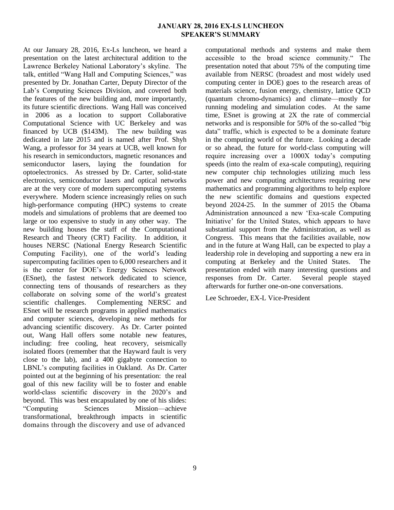#### **JANUARY 28, 2016 EX-LS LUNCHEON SPEAKER'S SUMMARY**

At our January 28, 2016, Ex-Ls luncheon, we heard a presentation on the latest architectural addition to the Lawrence Berkeley National Laboratory's skyline. The talk, entitled "Wang Hall and Computing Sciences," was presented by Dr. Jonathan Carter, Deputy Director of the Lab's Computing Sciences Division, and covered both the features of the new building and, more importantly, its future scientific directions. Wang Hall was conceived in 2006 as a location to support Collaborative Computational Science with UC Berkeley and was financed by UCB (\$143M). The new building was dedicated in late 2015 and is named after Prof. Shyh Wang, a professor for 34 years at UCB, well known for his research in semiconductors, magnetic resonances and semiconductor lasers, laying the foundation for optoelectronics. As stressed by Dr. Carter, solid-state electronics, semiconductor lasers and optical networks are at the very core of modern supercomputing systems everywhere. Modern science increasingly relies on such high-performance computing (HPC) systems to create models and simulations of problems that are deemed too large or too expensive to study in any other way. The new building houses the staff of the Computational Research and Theory (CRT) Facility. In addition, it houses NERSC (National Energy Research Scientific Computing Facility), one of the world's leading supercomputing facilities open to 6,000 researchers and it is the center for DOE's Energy Sciences Network (ESnet), the fastest network dedicated to science, connecting tens of thousands of researchers as they collaborate on solving some of the world's greatest scientific challenges. Complementing NERSC and ESnet will be research programs in applied mathematics and computer sciences, developing new methods for advancing scientific discovery. As Dr. Carter pointed out, Wang Hall offers some notable new features, including: free cooling, heat recovery, seismically isolated floors (remember that the Hayward fault is very close to the lab), and a 400 gigabyte connection to LBNL's computing facilities in Oakland. As Dr. Carter pointed out at the beginning of his presentation: the real goal of this new facility will be to foster and enable world-class scientific discovery in the 2020's and beyond. This was best encapsulated by one of his slides: "Computing Sciences Mission—achieve transformational, breakthrough impacts in scientific domains through the discovery and use of advanced

computational methods and systems and make them accessible to the broad science community." The presentation noted that about 75% of the computing time available from NERSC (broadest and most widely used computing center in DOE) goes to the research areas of materials science, fusion energy, chemistry, lattice QCD (quantum chromo-dynamics) and climate—mostly for running modeling and simulation codes. At the same time, ESnet is growing at 2X the rate of commercial networks and is responsible for 50% of the so-called "big data" traffic, which is expected to be a dominate feature in the computing world of the future. Looking a decade or so ahead, the future for world-class computing will require increasing over a 1000X today's computing speeds (into the realm of exa-scale computing), requiring new computer chip technologies utilizing much less power and new computing architectures requiring new mathematics and programming algorithms to help explore the new scientific domains and questions expected beyond 2024-25. In the summer of 2015 the Obama Administration announced a new 'Exa-scale Computing Initiative' for the United States, which appears to have substantial support from the Administration, as well as Congress. This means that the facilities available, now and in the future at Wang Hall, can be expected to play a leadership role in developing and supporting a new era in computing at Berkeley and the United States. The presentation ended with many interesting questions and responses from Dr. Carter. Several people stayed afterwards for further one-on-one conversations.

Lee Schroeder, EX-L Vice-President